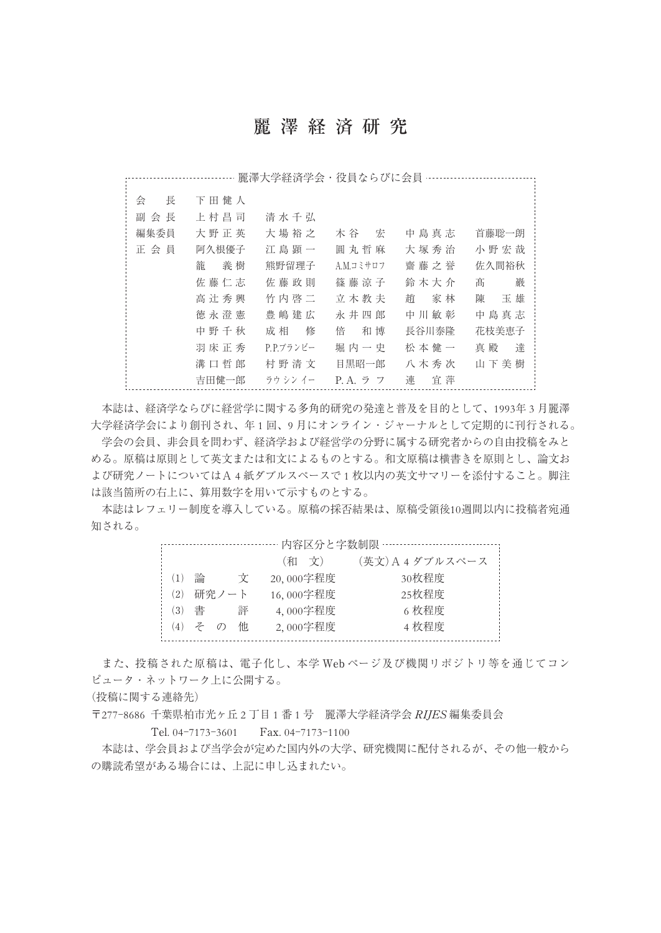## 麗澤経済研究

|        |         | 麗澤大学経済学会・役員ならびに会員 |           |         |         |
|--------|---------|-------------------|-----------|---------|---------|
| 長<br>会 | 下田健人    |                   |           |         |         |
| 副 会 長  | 上村昌司    | 清水千弘              |           |         |         |
| 編集委員   | 大野正英    | 大場裕之              | 木 谷 宏     | 中島真志    | 首藤聡一朗   |
| 正会員    | 阿久根優子   | 江島顕一              | 圓丸哲麻      | 大塚秀治    | 小野宏哉    |
|        | 籠<br>義樹 | 熊野留理子             | A.M.コミサロフ | 齋藤之誉    | 佐久間裕秋   |
|        | 佐藤仁志    | 佐藤政則              | 篠 藤 涼 子   | 鈴 木 大 介 | 巖<br>髙  |
|        | 高辻秀興    | 竹内啓二              | 立木教夫      | 趙 家林    | 陳<br>玉雄 |
|        | 徳永澄憲    | 豊嶋建広              | 永井四郎      | 中川敏彰    | 中島真志    |
|        | 中野千秋    | 成 相 修             | 和博<br>倍   | 長谷川泰隆   | 花枝美恵子   |
|        | 羽床正秀    | P.P.ブランビー         | 堀 内 一 史   | 松本健一    | 達<br>真殿 |
|        | 溝口哲郎    | 村野清文              | 目黒昭一郎     | 八木秀次    | 山下美樹    |
|        | 吉田健一郎   | ラウ シン イー          | P.A. ラ フ  | 連<br>宜萍 |         |

本誌は、経済学ならびに経営学に関する多角的研究の発達と普及を目的として、1993年 3 月麗澤 大学経済学会により創刊され、年 1 回、9 月にオンライン・ジャーナルとして定期的に刊行される。 学会の会員、非会員を問わず、経済学および経営学の分野に属する研究者からの自由投稿をみと める。原稿は原則として英文または和文によるものとする。和文原稿は横書きを原則とし、論文お よび研究ノートについてはA 4 紙ダブルスペースで 1 枚以内の英文サマリーを添付すること。脚注 は該当箇所の右上に、算用数字を用いて示すものとする。

本誌はレフェリー制度を導入している。原稿の採否結果は、原稿受領後10週間以内に投稿者宛通 知される。

|     |   |       |   | 内容区分と字数制限 … |                 |
|-----|---|-------|---|-------------|-----------------|
|     |   |       |   | (和 文)       | (英文)A4ダブルスペース ! |
| (1) | 論 |       | Ÿ | 20,000字程度   | 30枚程度           |
| (2) |   | 研究ノート |   | 16,000字程度   | 25枚程度           |
| (3) | 書 |       | 評 | 4,000字程度    | 6 枚程度           |
| (4) |   |       | 他 | 2,000字程度    | 4枚程度            |

また、投稿された原稿は、電子化し、本学 Web ページ及び機関リポジトリ等を通じてコン ピュータ・ネットワーク上に公開する。

(投稿に関する連絡先)

〒277-8686 千葉県柏市光ヶ丘 2 丁目 1 番 1 号 麗澤大学経済学会 RIJES 編集委員会

Tel. 04-7173-3601 Fax. 04-7173-1100

本誌は、学会員および当学会が定めた国内外の大学、研究機関に配付されるが、その他一般から の購読希望がある場合には、上記に申し込まれたい。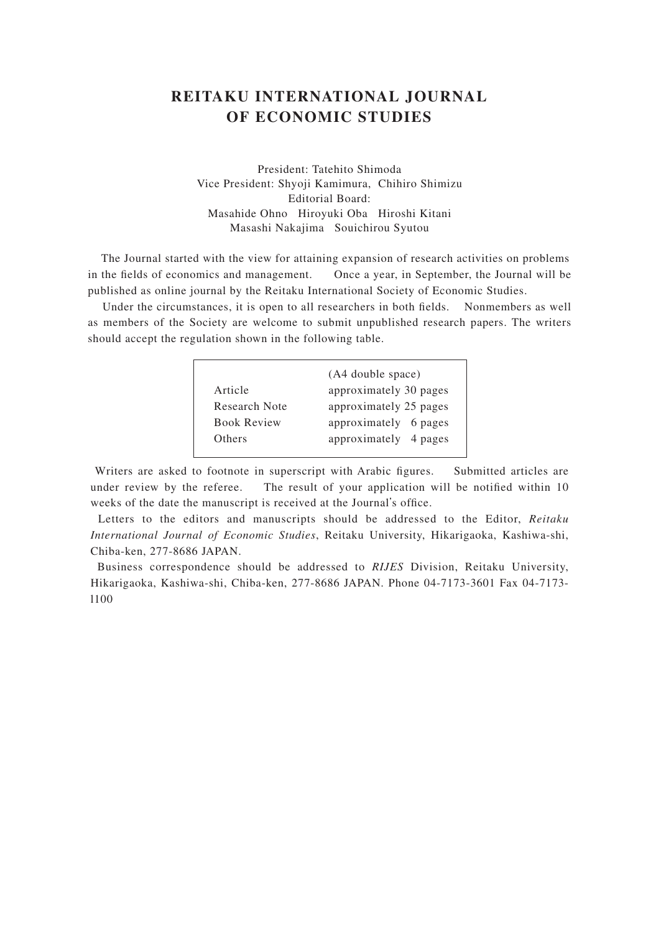### **REITAKU INTERNATIONAL JOURNAL OF ECONOMIC STUDIES**

President: Tatehito Shimoda Vice President: Shyoji Kamimura, Chihiro Shimizu Editorial Board: Masahide Ohno Hiroyuki Oba Hiroshi Kitani Masashi Nakajima Souichirou Syutou

 The Journal started with the view for attaining expansion of research activities on problems in the fields of economics and management. Once a year, in September, the Journal will be published as online journal by the Reitaku International Society of Economic Studies.

Under the circumstances, it is open to all researchers in both fields. Nonmembers as well as members of the Society are welcome to submit unpublished research papers. The writers should accept the regulation shown in the following table.

|                    | (A4 double space)      |
|--------------------|------------------------|
| Article            | approximately 30 pages |
| Research Note      | approximately 25 pages |
| <b>Book Review</b> | approximately 6 pages  |
| Others             | approximately 4 pages  |
|                    |                        |

Writers are asked to footnote in superscript with Arabic figures. Submitted articles are under review by the referee. The result of your application will be notified within 10 weeks of the date the manuscript is received at the Journal's office.

 Letters to the editors and manuscripts should be addressed to the Editor, *Reitaku International Journal of Economic Studies*, Reitaku University, Hikarigaoka, Kashiwa-shi, Chiba-ken, 277-8686 JAPAN.

 Business correspondence should be addressed to *RIJES* Division, Reitaku University, Hikarigaoka, Kashiwa-shi, Chiba-ken, 277-8686 JAPAN. Phone 04-7173-3601 Fax 04-7173 l100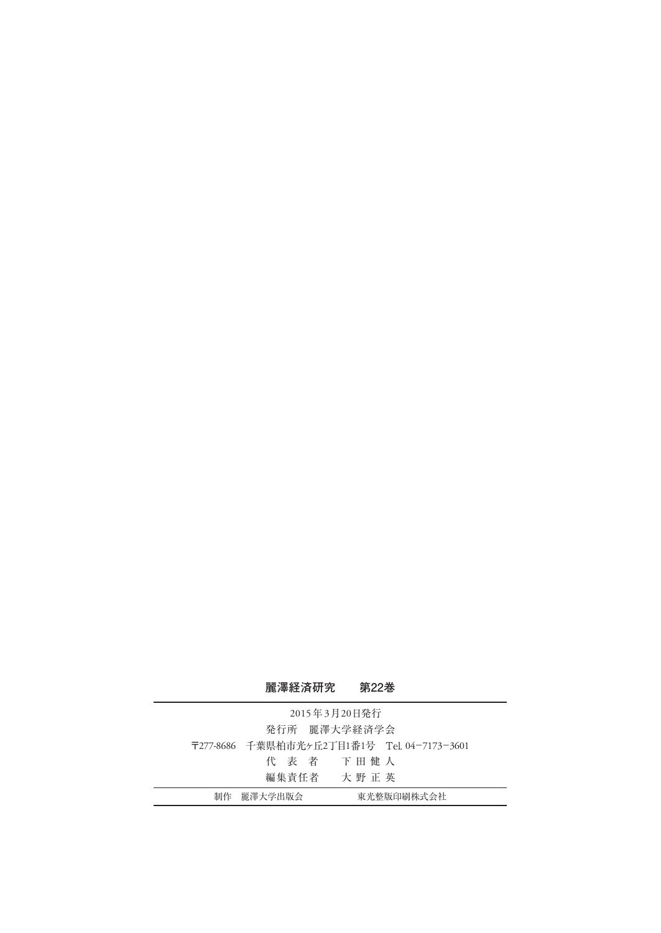### **麗澤経済研究 第22巻**

| 2015年3月20日発行 |            |                                             |  |  |  |  |
|--------------|------------|---------------------------------------------|--|--|--|--|
|              |            | 発行所 麗澤大学経済学会                                |  |  |  |  |
|              |            | 〒277-8686 千葉県柏市光ヶ丘2丁目1番1号 Tel. 04-7173-3601 |  |  |  |  |
|              |            | 代 表 者 下田健人                                  |  |  |  |  |
|              |            | 編集青任者 大野 正 英                                |  |  |  |  |
|              | 制作 麗澤大学出版会 | 東光整版印刷株式会社                                  |  |  |  |  |